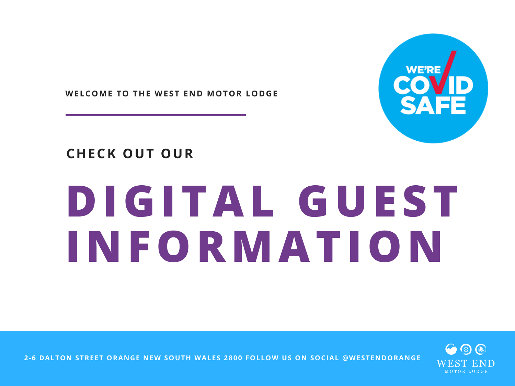

**WELCOME TO THE WEST END MOTOR LODGE**

#### **CHECK OUT OUR**

# **DIGITAL GUEST INFORMATION**



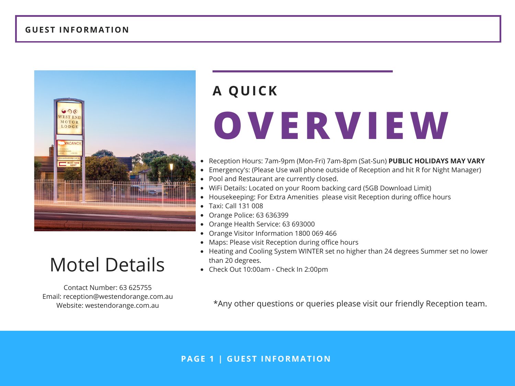

#### Motel Details **Check Out 10:00am - Check In 2:00pm**

Contact Number: 63 625755 Email: reception@westendorange.com.au Website: westendorange.com.au

## **OVERVIEW A QUICK**

- Reception Hours: 7am-9pm (Mon-Fri) 7am-8pm (Sat-Sun) **PUBLIC HOLIDAYS MAY VARY**  $\bullet$
- Emergency's: (Please Use wall phone outside of Reception and hit R for Night Manager)
- Pool and Restaurant are currently closed.
- WiFi Details: Located on your Room backing card (5GB Download Limit)
- Housekeeping: For Extra Amenities please visit Reception during office hours  $\bullet$
- $\bullet$ Taxi: Call 131 008
- Orange Police: 63 636399
- Orange Health Service: 63 693000
- Orange Visitor Information 1800 069 466
- Maps: Please visit Reception during office hours
- Heating and Cooling System WINTER set no higher than 24 degrees Summer set no lower
- 

\*Any other questions or queries please visit our friendly Reception team.

#### **PAGE 1 | GUEST INFORMATION**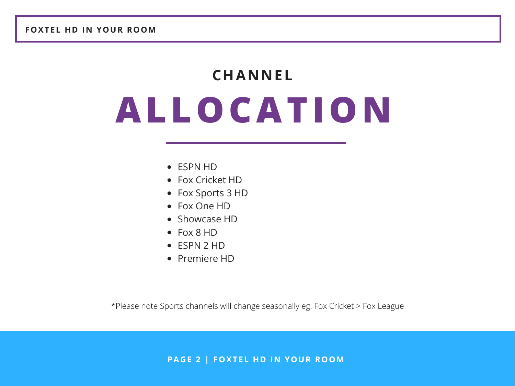## **ALLOCATION CHANNEL**

- ESPN HD
- Fox Cricket HD
- Fox Sports 3 HD
- Fox One HD
- Showcase HD
- Fox 8 HD
- ESPN 2 HD
- Premiere HD

\*Please note Sports channels will change seasonally eg. Fox Cricket > Fox League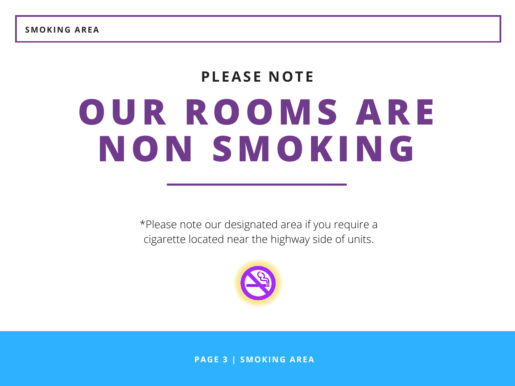#### **PLEASE NOTE**

## **OUR ROOMS ARE NON SMOKING**

\*Please note our designated area if you require a cigarette located near the highway side of units.



**PAGE 3 | SMOKING AREA**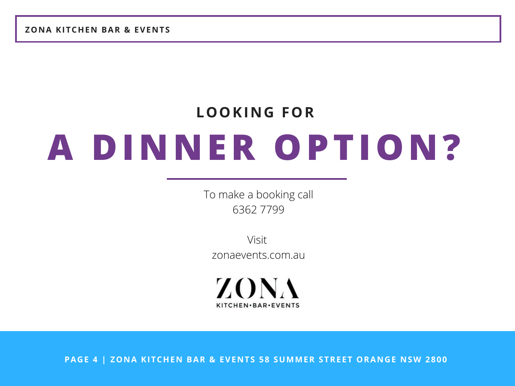**ZONA KITCHEN BAR & EVENTS**

### **A DINNER OPTION? LOOKING FOR**

To make a booking call 6362 7799

Visit zonaevents.com.au

ZONA KITCHEN·BAR·EVENTS

**PAGE 4 | ZONA KITCHEN BAR & EVENTS 58 SUMMER STREET ORANGE NSW 2800**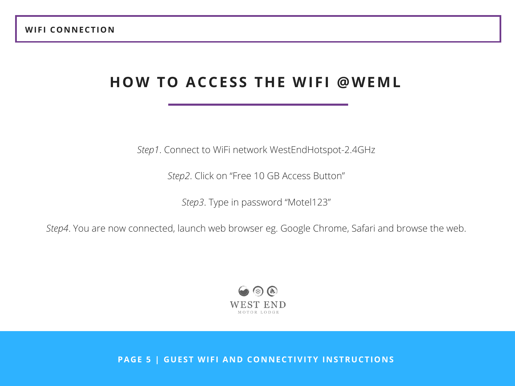#### **HOW TO ACCESS THE WIFI @WEML**

*Step1*. Connect to WiFi network WestEndHotspot-2.4GHz

*Step2*. Click on "Free 10 GB Access Button"

*Step3*. Type in password "Motel123"

*Step4*. You are now connected, launch web browser eg. Google Chrome, Safari and browse the web.



**PAGE 5 | GUEST WIFI AND CONNECTIVITY INSTRUCTIONS**